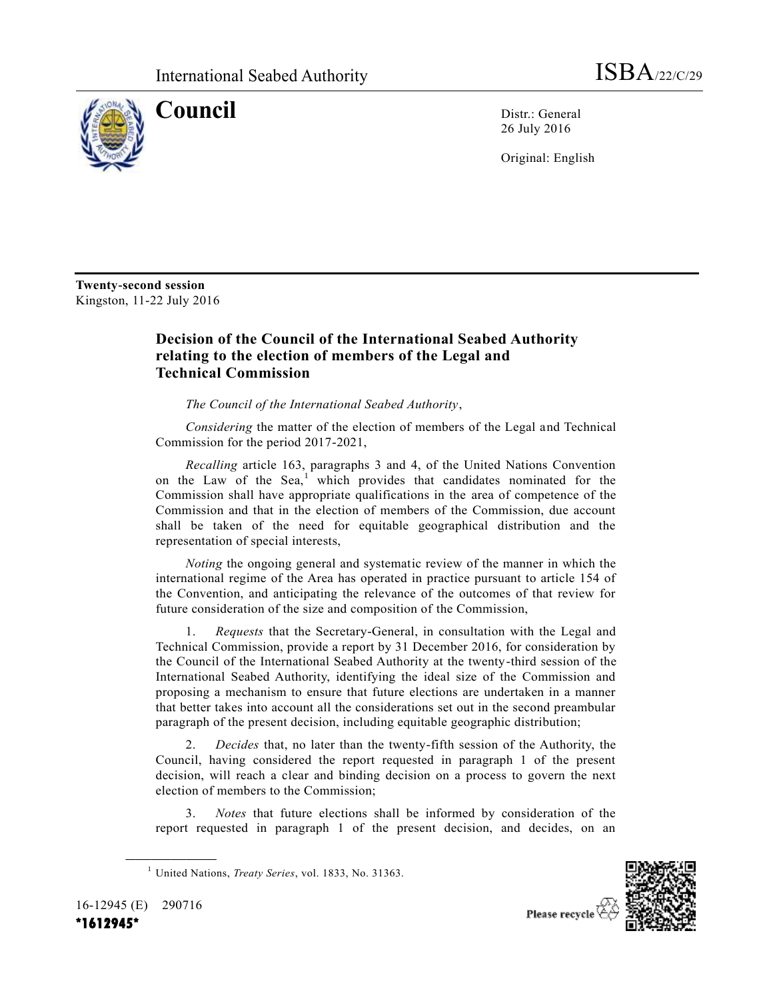

**Council** Distr.: General 26 July 2016

Original: English

**Twenty-second session** Kingston, 11-22 July 2016

## **Decision of the Council of the International Seabed Authority relating to the election of members of the Legal and Technical Commission**

*The Council of the International Seabed Authority*,

*Considering* the matter of the election of members of the Legal and Technical Commission for the period 2017-2021,

*Recalling* article 163, paragraphs 3 and 4, of the United Nations Convention on the Law of the Sea,<sup>1</sup> which provides that candidates nominated for the Commission shall have appropriate qualifications in the area of competence of the Commission and that in the election of members of the Commission, due account shall be taken of the need for equitable geographical distribution and the representation of special interests,

*Noting* the ongoing general and systematic review of the manner in which the international regime of the Area has operated in practice pursuant to article 154 of the Convention, and anticipating the relevance of the outcomes of that review for future consideration of the size and composition of the Commission,

1. *Requests* that the Secretary-General, in consultation with the Legal and Technical Commission, provide a report by 31 December 2016, for consideration by the Council of the International Seabed Authority at the twenty-third session of the International Seabed Authority, identifying the ideal size of the Commission and proposing a mechanism to ensure that future elections are undertaken in a manner that better takes into account all the considerations set out in the second preambular paragraph of the present decision, including equitable geographic distribution;

2. *Decides* that, no later than the twenty-fifth session of the Authority, the Council, having considered the report requested in paragraph 1 of the present decision, will reach a clear and binding decision on a process to govern the next election of members to the Commission;

3. *Notes* that future elections shall be informed by consideration of the report requested in paragraph 1 of the present decision, and decides, on an



16-12945 (E) 290716 **\*1612945\*** 

**\_\_\_\_\_\_\_\_\_\_\_\_\_\_\_\_\_\_**

<sup>1</sup> United Nations, *Treaty Series*, vol. 1833, No. 31363.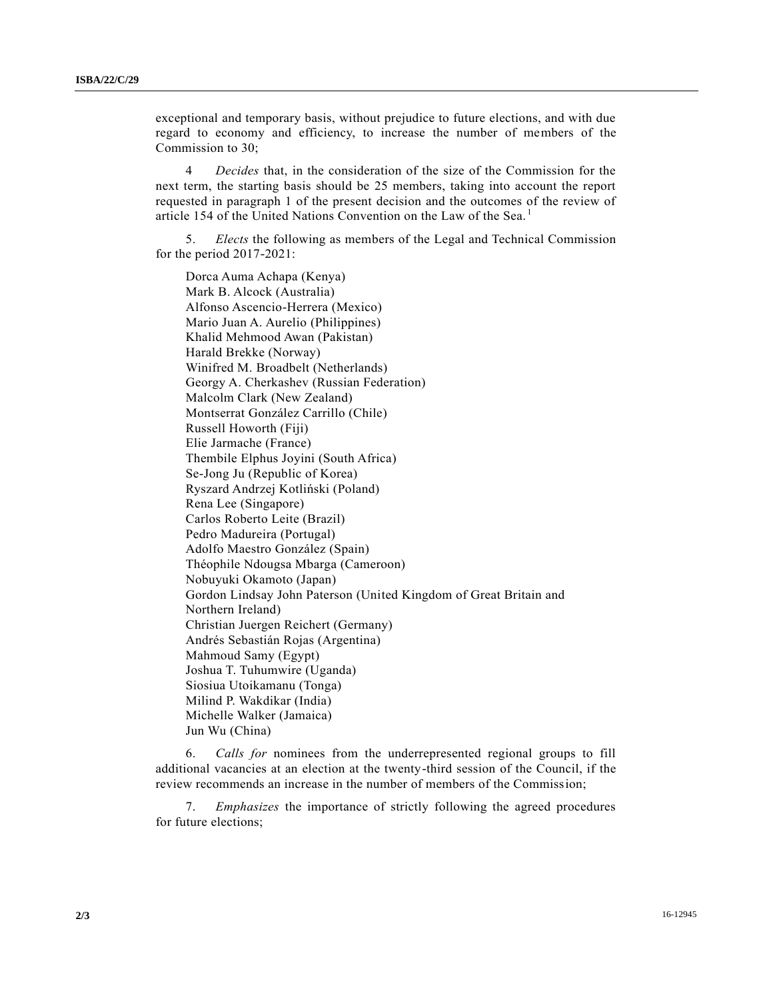exceptional and temporary basis, without prejudice to future elections, and with due regard to economy and efficiency, to increase the number of members of the Commission to 30;

4 *Decides* that, in the consideration of the size of the Commission for the next term, the starting basis should be 25 members, taking into account the report requested in paragraph 1 of the present decision and the outcomes of the review of article 154 of the United Nations Convention on the Law of the Sea.<sup>1</sup>

5. *Elects* the following as members of the Legal and Technical Commission for the period 2017-2021:

Dorca Auma Achapa (Kenya) Mark B. Alcock (Australia) Alfonso Ascencio-Herrera (Mexico) Mario Juan A. Aurelio (Philippines) Khalid Mehmood Awan (Pakistan) Harald Brekke (Norway) Winifred M. Broadbelt (Netherlands) Georgy A. Cherkashev (Russian Federation) Malcolm Clark (New Zealand) Montserrat González Carrillo (Chile) Russell Howorth (Fiji) Elie Jarmache (France) Thembile Elphus Joyini (South Africa) Se-Jong Ju (Republic of Korea) Ryszard Andrzej Kotliński (Poland) Rena Lee (Singapore) Carlos Roberto Leite (Brazil) Pedro Madureira (Portugal) Adolfo Maestro González (Spain) Théophile Ndougsa Mbarga (Cameroon) Nobuyuki Okamoto (Japan) Gordon Lindsay John Paterson (United Kingdom of Great Britain and Northern Ireland) Christian Juergen Reichert (Germany) Andrés Sebastián Rojas (Argentina) Mahmoud Samy (Egypt) Joshua T. Tuhumwire (Uganda) Siosiua Utoikamanu (Tonga) Milind P. Wakdikar (India) Michelle Walker (Jamaica) Jun Wu (China)

6. *Calls for* nominees from the underrepresented regional groups to fill additional vacancies at an election at the twenty-third session of the Council, if the review recommends an increase in the number of members of the Commission;

7. *Emphasizes* the importance of strictly following the agreed procedures for future elections;